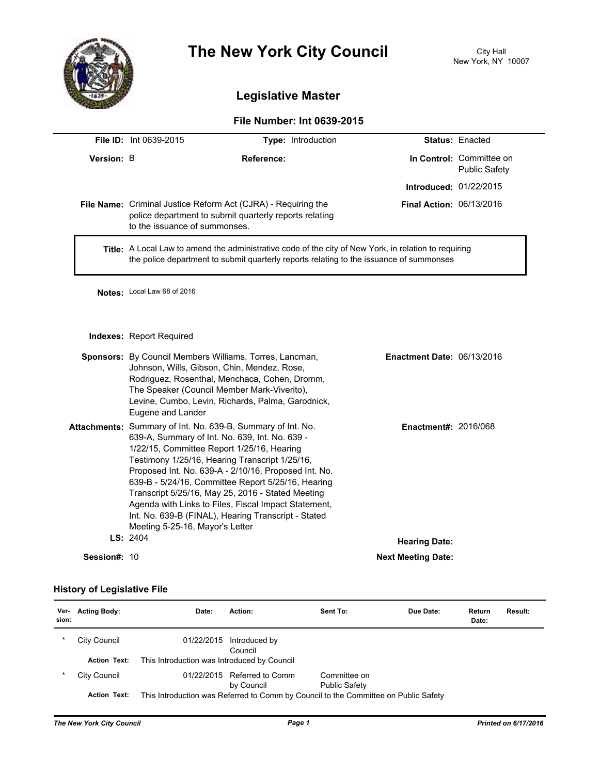

# **The New York City Council** City Hall

## **Legislative Master**

### **File Number: Int 0639-2015**

|              | <b>File ID: Int 0639-2015</b>                                                                                                                                                                                                                                                                                                                                                                                                                                                                                                      | Type: Introduction                                                                                                                                                                                                                                          |                                   | <b>Status: Enacted</b>                           |  |
|--------------|------------------------------------------------------------------------------------------------------------------------------------------------------------------------------------------------------------------------------------------------------------------------------------------------------------------------------------------------------------------------------------------------------------------------------------------------------------------------------------------------------------------------------------|-------------------------------------------------------------------------------------------------------------------------------------------------------------------------------------------------------------------------------------------------------------|-----------------------------------|--------------------------------------------------|--|
| Version: B   | Reference:                                                                                                                                                                                                                                                                                                                                                                                                                                                                                                                         |                                                                                                                                                                                                                                                             |                                   | In Control: Committee on<br><b>Public Safety</b> |  |
|              |                                                                                                                                                                                                                                                                                                                                                                                                                                                                                                                                    |                                                                                                                                                                                                                                                             | <b>Introduced: 01/22/2015</b>     |                                                  |  |
|              | to the issuance of summonses.                                                                                                                                                                                                                                                                                                                                                                                                                                                                                                      | File Name: Criminal Justice Reform Act (CJRA) - Requiring the<br>police department to submit quarterly reports relating                                                                                                                                     | <b>Final Action: 06/13/2016</b>   |                                                  |  |
|              | Title: A Local Law to amend the administrative code of the city of New York, in relation to requiring<br>the police department to submit quarterly reports relating to the issuance of summonses                                                                                                                                                                                                                                                                                                                                   |                                                                                                                                                                                                                                                             |                                   |                                                  |  |
|              | Notes: Local Law 68 of 2016                                                                                                                                                                                                                                                                                                                                                                                                                                                                                                        |                                                                                                                                                                                                                                                             |                                   |                                                  |  |
|              | Indexes: Report Required                                                                                                                                                                                                                                                                                                                                                                                                                                                                                                           |                                                                                                                                                                                                                                                             |                                   |                                                  |  |
|              | Eugene and Lander                                                                                                                                                                                                                                                                                                                                                                                                                                                                                                                  | Sponsors: By Council Members Williams, Torres, Lancman,<br>Johnson, Wills, Gibson, Chin, Mendez, Rose,<br>Rodriguez, Rosenthal, Menchaca, Cohen, Dromm,<br>The Speaker (Council Member Mark-Viverito),<br>Levine, Cumbo, Levin, Richards, Palma, Garodnick, | <b>Enactment Date: 06/13/2016</b> |                                                  |  |
|              | Attachments: Summary of Int. No. 639-B, Summary of Int. No.<br>639-A, Summary of Int. No. 639, Int. No. 639 -<br>1/22/15, Committee Report 1/25/16, Hearing<br>Testimony 1/25/16, Hearing Transcript 1/25/16,<br>Proposed Int. No. 639-A - 2/10/16, Proposed Int. No.<br>639-B - 5/24/16, Committee Report 5/25/16, Hearing<br>Transcript 5/25/16, May 25, 2016 - Stated Meeting<br>Agenda with Links to Files, Fiscal Impact Statement,<br>Int. No. 639-B (FINAL), Hearing Transcript - Stated<br>Meeting 5-25-16, Mayor's Letter |                                                                                                                                                                                                                                                             | <b>Enactment#: 2016/068</b>       |                                                  |  |
|              | LS: 2404                                                                                                                                                                                                                                                                                                                                                                                                                                                                                                                           |                                                                                                                                                                                                                                                             | <b>Hearing Date:</b>              |                                                  |  |
| Session#: 10 |                                                                                                                                                                                                                                                                                                                                                                                                                                                                                                                                    |                                                                                                                                                                                                                                                             | <b>Next Meeting Date:</b>         |                                                  |  |

#### **History of Legislative File**

| Ver-<br>sion: | <b>Acting Body:</b> | Date:                                       | Action:                        | Sent To:                                                                            | Due Date: | Return<br>Date: | Result: |
|---------------|---------------------|---------------------------------------------|--------------------------------|-------------------------------------------------------------------------------------|-----------|-----------------|---------|
| *             | City Council        | 01/22/2015                                  | Introduced by<br>Council       |                                                                                     |           |                 |         |
|               | <b>Action Text:</b> | This Introduction was Introduced by Council |                                |                                                                                     |           |                 |         |
| $\star$       | City Council        | 01/22/2015                                  | Referred to Comm<br>by Council | Committee on<br><b>Public Safety</b>                                                |           |                 |         |
|               | <b>Action Text:</b> |                                             |                                | This Introduction was Referred to Comm by Council to the Committee on Public Safety |           |                 |         |